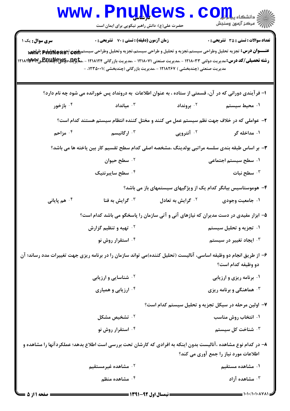|                                                                                                                                                                  | www.PnuNews<br>حضرت علی(ع): دانش راهبر نیکویی برای ایمان است                                                                 |                               | الشکاه پیام اور CO<br>اگر مرکز آزمون وسنجش                                                                                                                                          |  |  |
|------------------------------------------------------------------------------------------------------------------------------------------------------------------|------------------------------------------------------------------------------------------------------------------------------|-------------------------------|-------------------------------------------------------------------------------------------------------------------------------------------------------------------------------------|--|--|
| سری سوال: یک ۱<br><b>رشته تحصیلی/کد درس:</b> مدیریت دولتی ۱۲۱۸۰۳۳ - ،مدیریت صنعتی ۱۲۱۸۰۷۱ - ،مدیریت بازرگانی ۱۲۱۸۱۲۴ - ،م <del>تا</del> چِلقخچلاچچلاپلللللبلگتخچ | <b>زمان آزمون (دقیقه) : تستی : 70 گشریحی : 0</b><br>مدیریت صنعتی (چندبخشی ) ۱۲۱۸۲۶۷ - ،مدیریت بازرگانی (چندبخشی )۰۰۱۲۳۵۰۰۱ - |                               | <b>تعداد سوالات : تستي : 35 ٪ تشریحي : 0</b><br>عنـــوان درس: تجزيه تحليل وطراحي سيستم،تجزيه و تحليل و طراحي سيستم،تجزيه وتحليل وطراحي سيستم <sub>ال</sub> لون تجزيهج تحليلو جلالهي |  |  |
|                                                                                                                                                                  | ا– فرآیندی دورانی که در آن، قسمتی از ستاده ، به عنوان اطلاعات به درونداد پس خورانده می شود چه نام دارد؟                      |                               |                                                                                                                                                                                     |  |  |
| ۰۴ بازخور                                                                                                                                                        | میانداد $\cdot$ "                                                                                                            | ۰ <sup>۲</sup> برونداد        | ۰۱ محیط سیستم                                                                                                                                                                       |  |  |
|                                                                                                                                                                  | ۲– عواملی که در خلاف جهت نظم سیستم عمل می کنند و مختل کننده انتظام سیستم هستند کدام است؟                                     |                               |                                                                                                                                                                                     |  |  |
| ۰۴ مزاحم                                                                                                                                                         | ۰ <sup>۳</sup> ارگانیسم                                                                                                      | ۰ <sup>۲</sup> آنتروپی        | ۰۱ مداخله گر                                                                                                                                                                        |  |  |
|                                                                                                                                                                  | ۳- بر اساس طبقه بندی سلسه مراتبی بولدینگ ،مشخصه اصلی کدام سطح تقسیم کار بین یاخته ها می باشد؟                                |                               |                                                                                                                                                                                     |  |  |
|                                                                                                                                                                  | ۰۲ سطح حیوان                                                                                                                 |                               | ۰۱ سطح سیستم اجتماعی                                                                                                                                                                |  |  |
|                                                                                                                                                                  | ۰۴ سطح سایبرنتیک                                                                                                             |                               | سطح نبات $\cdot$ "                                                                                                                                                                  |  |  |
|                                                                                                                                                                  | ۴- هوموستاسیس بیانگر کدام یک از ویژگیهای سیستمهای باز می باشد؟                                                               |                               |                                                                                                                                                                                     |  |  |
| ۰ <sup>۴</sup> هم پایانی                                                                                                                                         | گرايش به فنا $\cdot^{\mathtt{y}}$                                                                                            | ۰ <sup>۲</sup> گرایش به تعادل | ۰۱ جامعیت وجودی                                                                                                                                                                     |  |  |
|                                                                                                                                                                  | ۵– ابزار مفیدی در دست مدیران که نیازهای آنی و آتی سازمان را پاسخگو می باشد کدام است؟                                         |                               |                                                                                                                                                                                     |  |  |
|                                                                                                                                                                  | <sup>۲ .</sup> تهیه و تنظیم گزارش                                                                                            |                               | ۰۱ تجزیه و تحلیل سیستم                                                                                                                                                              |  |  |
|                                                                                                                                                                  | ۰۴ استقرار روش نو                                                                                                            |                               | ۰ <sup>۳</sup> ایجاد تغییر در سیستم                                                                                                                                                 |  |  |
| ۶– از طریق انجام دو وظیفه اساسی، آنالیست (تحلیل کننده)می تواند سازمان را در برنامه ریزی جهت تغییرات مدد رساند؛ آن<br>دو وظیفه کدام است؟                          |                                                                                                                              |                               |                                                                                                                                                                                     |  |  |
|                                                                                                                                                                  | <sup>۲</sup> ۰ شناسایی و ارزیابی                                                                                             |                               | ۰۱ برنامه ریزی و ارزیابی                                                                                                                                                            |  |  |
|                                                                                                                                                                  | ۰۴ ارزیابی و همیاری                                                                                                          |                               | ۰ <sup>۳</sup> هماهنگی و برنامه ریزی                                                                                                                                                |  |  |
|                                                                                                                                                                  | ۷– اولین مرحله در سیکل تجزیه و تحلیل سیستم کدام است؟                                                                         |                               |                                                                                                                                                                                     |  |  |
|                                                                                                                                                                  | ۰ <sup>۲</sup> تشخیص مشکل                                                                                                    |                               | ۰۱ انتخاب روش مناسب                                                                                                                                                                 |  |  |
|                                                                                                                                                                  | ۰۴ استقرار روش نو                                                                                                            |                               | ۰ <sup>۳</sup> شناخت کل سیستم                                                                                                                                                       |  |  |
| ۸– در کدام نوع مشاهده ،آنالیست بدون اینکه به افرادی که کارشان تحت بررسی است اطلاع بدهد؛ عملکردآنها را مشاهده و<br>اطلاعات مورد نیاز را جمع آوری می کند؟          |                                                                                                                              |                               |                                                                                                                                                                                     |  |  |
|                                                                                                                                                                  | ۰۲ مشاهده غیرمستقیم                                                                                                          |                               | ۰۱ مشاهده مستقیم                                                                                                                                                                    |  |  |
|                                                                                                                                                                  | ۰۴ مشاهده منظم                                                                                                               |                               | ۰۳ مشاهده آزاد                                                                                                                                                                      |  |  |
| صفحه ۱ از ۵                                                                                                                                                      | = نیمسال اول 92-1391 =                                                                                                       |                               |                                                                                                                                                                                     |  |  |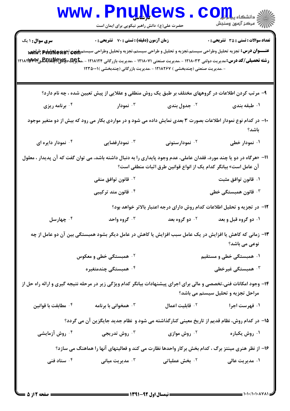| <b>WWW .</b>                                                                                                                                                                    | <b>Luñile</b> me<br>حضرت علی(ع): دانش راهبر نیکویی برای ایمان است                                                                                                                                                                                               |                                                                           | د دانشکاه پیا با بار<br>رآ مرڪز آزمون وسنڊش             |  |  |
|---------------------------------------------------------------------------------------------------------------------------------------------------------------------------------|-----------------------------------------------------------------------------------------------------------------------------------------------------------------------------------------------------------------------------------------------------------------|---------------------------------------------------------------------------|---------------------------------------------------------|--|--|
| <b>سری سوال : ۱ یک</b><br><b>رشته تحصیلی/کد درس:</b> مدیریت دولتی ۱۲۱۸۰۳۳ - ،مدیریت صنعتی ۱۲۱۸۰۷۱ - ،مدیریت بازرگانی ۱۲۱۸۱۲۴ - ،م <del>تاچها چاپکاپللاپاچاپ</del> لاپاپاپا<br>. | زمان آزمون (دقیقه) : تستی : 70 قشریحی : 0<br>عنـــوان درس: تجزيه تحليل وطراحي سيستم،تجزيه و تحليل و طراحي سيستم،تجزيه وتحليل وطراحي سيستم <sub>الل</sub> ثون تجهيهه PriuNew بالمس<br>- ،مدیریت صنعتی (چندبخشی ) ۱۲۱۸۲۶۷ - ،مدیریت بازرگانی (چندبخشی )۰۰۱۱۲۳۵۰۰۱ |                                                                           | <b>تعداد سوالات : تستی : 35 - تشریحی : 0</b>            |  |  |
|                                                                                                                                                                                 | ۹– مرتب کردن اطلاعات در گروههای مختلف بر طبق یک روش منطقی و عقلایی از پیش تعیین شده ، چه نام دارد؟                                                                                                                                                              |                                                                           |                                                         |  |  |
| ۰۴ برنامه ریزی                                                                                                                                                                  | نمودار $\cdot$ ۳                                                                                                                                                                                                                                                | ۰۲ جدول بندی                                                              | ۰۱ طبقه بندی                                            |  |  |
| ∙۱− در کدام نوع نمودار اطلاعات بصورت ۳ بعدی نمایش داده می شود و در مواردی بکار می رود که بیش از دو متغیر موجود<br>باشد؟                                                         |                                                                                                                                                                                                                                                                 |                                                                           |                                                         |  |  |
| ۰۴ نمودار دایره ای                                                                                                                                                              | ۰ <sup>۳</sup> نمودارفضایی                                                                                                                                                                                                                                      | ۰ <sup>۲</sup> نمودارستونی                                                | ۰۱ نمودار خطی                                           |  |  |
|                                                                                                                                                                                 | 11- «هرگاه در دو یا چند مورد، فقدان عاملی، عدم وجود پایداری را به دنبال داشته باشد، می توان گفت که آن پدیدار ، معلول<br>۰ <sup>۲</sup> قانون توافق منفی<br>۰ <sup>۴</sup> قانون متد ترکیبی                                                                      | آن عامل است» بیانگر کدام یک از انواع قوانین طرق اثبات منطقی است؟          | ۰۱ قانون توافق مثبت<br>۰ <sup>۳</sup> قانون همبستگی خطی |  |  |
|                                                                                                                                                                                 |                                                                                                                                                                                                                                                                 | ۱۲– در تجزیه و تحلیل اطلاعات کدام روش دارای درجه اعتبار بالاتر خواهد بود؟ |                                                         |  |  |
| ۰۴ چهارسل                                                                                                                                                                       | ۰۳ گروه واحد                                                                                                                                                                                                                                                    | ۰ <sup>۲</sup> دو گروه بعد                                                | ۰۱ دو گروه قبل و بعد                                    |  |  |
|                                                                                                                                                                                 | ۱۳- زمانی که کاهش یا افزایش در یک عامل سبب افزایش یا کاهش در عامل دیگر بشود همبستگی بین آن دو عامل از چه                                                                                                                                                        |                                                                           | نوعی می باشد؟                                           |  |  |
|                                                                                                                                                                                 | <sup>۲.</sup> همبستگی خطی و معکوس                                                                                                                                                                                                                               |                                                                           | ۰۱ همبستگی خطی و مستقیم                                 |  |  |
|                                                                                                                                                                                 | ۰ <sup>۴</sup> همبستگی چندمتغیره                                                                                                                                                                                                                                |                                                                           | همبستگی غیرخطی $\cdot^{\mathtt{w}}$                     |  |  |
| ۱۴- وجود امکانات فنی،تخصصی و مالی برای اجرای پیشنهادات بیانگر کدام ویژگی زیر در مرحله نتیجه گیری و ارائه راه حل از<br>مراحل تجزیه و تحلیل سیستم می باشد؟                        |                                                                                                                                                                                                                                                                 |                                                                           |                                                         |  |  |
| ۰ <sup>۴</sup> مطابقت با قوانین                                                                                                                                                 | همخوانی با برنامه $\cdot$ ۳                                                                                                                                                                                                                                     | ۰ <sup>۲</sup> قابلیت اعمال                                               | ۰۱ فهرست اجرا                                           |  |  |
| ۱۵– در کدام روش، نظام قدیم از تاریخ معینی کنارگذاشته می شود و  نظام جدید جایگزین آن می گردد؟                                                                                    |                                                                                                                                                                                                                                                                 |                                                                           |                                                         |  |  |
| ۰ <sup>۴</sup> روش آزمایشی                                                                                                                                                      | روش تدریجی $\cdot^{\mathsf{v}}$                                                                                                                                                                                                                                 | ۰ <sup>۲</sup> روش موازی                                                  | ۰۱ روش یکباره                                           |  |  |
| ۱۶- از نظر هنری مینتز برگ ، کدام بخش برکار واحدها نظارت می کند و فعالیتهای آنها را هماهنگ می سازد؟                                                                              |                                                                                                                                                                                                                                                                 |                                                                           |                                                         |  |  |
| ۰ <sup>۴</sup> ستاد فنی                                                                                                                                                         | ۰ <sup>۳</sup> مدیریت میانی                                                                                                                                                                                                                                     | ۰ <sup>۲</sup> بخش عملیاتی                                                | ۱. مديريت عالي                                          |  |  |
|                                                                                                                                                                                 |                                                                                                                                                                                                                                                                 |                                                                           |                                                         |  |  |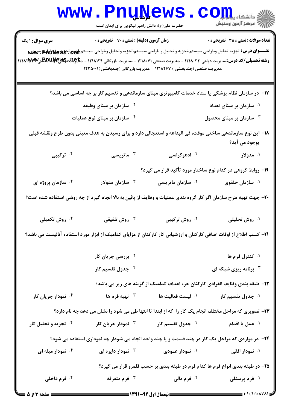|                                                                                                                  | www.PnuNews.<br>حضرت علی(ع): دانش راهبر نیکویی برای ایمان است                                                                                                                                                                                                                                                                                                                                               |                                      | اللاد دانشکاه پیام <mark>رو</mark> ل<br>الل <sup>ن</sup> گ مرکز آزمون وسنجش    |  |  |  |
|------------------------------------------------------------------------------------------------------------------|-------------------------------------------------------------------------------------------------------------------------------------------------------------------------------------------------------------------------------------------------------------------------------------------------------------------------------------------------------------------------------------------------------------|--------------------------------------|--------------------------------------------------------------------------------|--|--|--|
| <b>سری سوال : ۱ یک</b>                                                                                           | زمان آزمون (دقیقه) : تستی : 70 گشریحی : 0<br>عنـــوان درس: تجزيه تحليل وطراحي سيستم،تجزيه و تحليل و طراحي سيستم،تجزيه وتحليل وطراحي سيستم <sub>اللّ</sub> زي تجزيهج بوليلها بالسبابيج<br><b>رشته تحصیلی/کد درس:</b> مدیریت دولتی ۱۲۱۸۰۳۳ - ،مدیریت صنعتی ۱۲۱۸۰۷۱ - ،مدیریت بازرگانی ۱۲۱۸۱۲۴ - ،م <del>تاچک دکیکاچکلیکلیک</del><br>- ،مدیریت صنعتی (چندبخشی ) ۱۲۱۸۲۶۷ - ،مدیریت بازرگانی (چندبخشی )۰۰۱۱۳۵۰۱۱ |                                      | <b>تعداد سوالات : تستی : 35 تشریحی : 0</b>                                     |  |  |  |
|                                                                                                                  | ۱۷– در سازمان نظام پزشکی یا ستاد خدمات کامپیوتری مبنای سازماندهی و تقسیم کار بر چه اساسی می باشد؟                                                                                                                                                                                                                                                                                                           |                                      |                                                                                |  |  |  |
|                                                                                                                  | <sup>۲ .</sup> سازمان بر مبنای وظیفه                                                                                                                                                                                                                                                                                                                                                                        |                                      | ۰۱ سازمان بر مبنای تعداد                                                       |  |  |  |
|                                                                                                                  | ۰ <sup>۴</sup> سازمان بر مبنای نوع عملیات                                                                                                                                                                                                                                                                                                                                                                   | ۰ <sup>۳</sup> سازمان بر مبنای محصول |                                                                                |  |  |  |
|                                                                                                                  | ۱۸− این نوع سازماندهی ساختی موقت، فی البداهه و استعجالی دارد و برای رسیدن به هدف معینی بدون طرح ونقشه قبلی                                                                                                                                                                                                                                                                                                  |                                      | بوجود می آید؟                                                                  |  |  |  |
| ۰۴ ترکیبی                                                                                                        | استریسی $\cdot$                                                                                                                                                                                                                                                                                                                                                                                             | ۰ <sup>۲</sup> ادهوکراسی             | ۰۱ مدولار                                                                      |  |  |  |
|                                                                                                                  | ۱۹- روابط گروهی در کدام نوع ساختار مورد تأکید قرار می گیرد؟                                                                                                                                                                                                                                                                                                                                                 |                                      |                                                                                |  |  |  |
| ۰ <sup>۴</sup> سازمان پروژه ای                                                                                   | لىلارمان مدولار $\cdot^{\mathtt{w}}$                                                                                                                                                                                                                                                                                                                                                                        | <sup>۰۲</sup> سازمان ماتریسی         | ۰۱ سازمان حلقوی                                                                |  |  |  |
| +۲- جهت تهیه طرح سازمان اگر کار گروه بندی عملیات و وظایف از پائین به بالا انجام گیرد از چه روشی استفاده شده است؟ |                                                                                                                                                                                                                                                                                                                                                                                                             |                                      |                                                                                |  |  |  |
| ۰ <sup>۴</sup> روش تکمیلی                                                                                        | ۰ <sup>۳</sup> روش تلفیقی                                                                                                                                                                                                                                                                                                                                                                                   |                                      | ۰۱ روش تحلیلی مسلم ۲۰ روش ترکیبی <b>۱</b>                                      |  |  |  |
|                                                                                                                  | <b>۳۱</b> – کسب اطلاع از اوقات اضافی کارکنان و ارزشیابی کار کارکنان از مزایای کدامیک از ابزار مورد استفاده آنالیست می باشد؟                                                                                                                                                                                                                                                                                 |                                      |                                                                                |  |  |  |
|                                                                                                                  | <sup>۲.</sup> بررسی جریان کار                                                                                                                                                                                                                                                                                                                                                                               |                                      | ۰۱ کنترل فرم ها                                                                |  |  |  |
|                                                                                                                  | ۰ <sup>۴</sup> جدول تقسیم کار                                                                                                                                                                                                                                                                                                                                                                               |                                      | برنامه ریزی شبکه ای $\cdot^{\mathsf{\texttt{v}}}$                              |  |  |  |
|                                                                                                                  |                                                                                                                                                                                                                                                                                                                                                                                                             |                                      | ۲۲- طبقه بندی وظایف انفرادی کارکنان جزء اهداف کدامیک از گزینه های زیر می باشد؟ |  |  |  |
| ۰۴ نمودار جریان کار                                                                                              | ۰ <sup>۳</sup> تهیه فرم ها                                                                                                                                                                                                                                                                                                                                                                                  | ۰ <sup>۲</sup> لیست فعالیت ها        | ۰۱ جدول تقسیم کار                                                              |  |  |  |
|                                                                                                                  | ۲۳- تصویری که مراحل مختلف انجام یک کار را که از ابتدا تا انتها طی می شود را نشان می دهد چه نام دارد؟                                                                                                                                                                                                                                                                                                        |                                      |                                                                                |  |  |  |
| <b>۴ تجزیه و تحلیل کار</b>                                                                                       | نمودار جریان کار $\cdot^{\mathtt{w}}$                                                                                                                                                                                                                                                                                                                                                                       | ۰ <sup>۲</sup> جدول تقسیم کار        | ۰۱ عمل یا اقدام                                                                |  |  |  |
|                                                                                                                  | <b>۲۴</b> - در مواردی که مراحل یک کار در چند قسمت و یا چند واحد انجام می شوداز چه نموداری استفاده می شود؟                                                                                                                                                                                                                                                                                                   |                                      |                                                                                |  |  |  |
| ۰۴ نمودار میله ای                                                                                                | نمودار دايره ای $\cdot^{\mathtt{w}}$                                                                                                                                                                                                                                                                                                                                                                        | ۰ <sup>۲</sup> نمودار عمودی          | ۰۱ نمودار افقی                                                                 |  |  |  |
| ۲۵- در طبقه بندی انواع فرم ها کدام فرم در طبقه بندی بر حسب قلمرو قرار می گیرد؟                                   |                                                                                                                                                                                                                                                                                                                                                                                                             |                                      |                                                                                |  |  |  |
| ۰ <sup>۴</sup> فرم داخلی                                                                                         | ۰۳ فرم متفرقه                                                                                                                                                                                                                                                                                                                                                                                               | ۰۲ فرم مالی                          | ۰۱ فرم پرسنلی                                                                  |  |  |  |

 $= 1.1 - (1.1 - A V A)$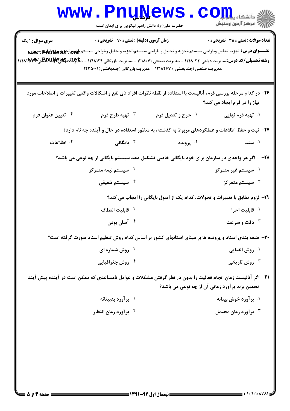|                                                                                                                                                                                     | <b>www.PnuNews</b><br>حضرت علی(ع): دانش راهبر نیکویی برای ایمان است                                                                                                                                                                                        |                           | اللاد دانشگاه پیاه <mark>برا</mark><br>۱۳۱۸ مرکز آزمهن وسنجش |  |
|-------------------------------------------------------------------------------------------------------------------------------------------------------------------------------------|------------------------------------------------------------------------------------------------------------------------------------------------------------------------------------------------------------------------------------------------------------|---------------------------|--------------------------------------------------------------|--|
| <b>سری سوال : ۱ یک</b><br><b>رشته تحصیلی/کد درس:</b> مدیریت دولتی ۱۲۱۸۰۳۳ - ،مدیریت صنعتی ۱۲۱۸۰۷۱ - ،مدیریت بازرگانی ۱۲۱۸۱۲۴ - ،م <del>تاچِلد دِکیپچرللدبلگ</del> سی۱۲۱۸۲۳ - ۱۲۱۸۲۳ | زمان آزمون (دقیقه) : تستی : 70 گشریحی : 0<br>عنـــوان درس: تجزيه تحليل وطراحي سيستم،تجزيه و تحليل و طراحي سيستم،تجزيه وتحليل وطراحي سيستم <sub>اللّ</sub> زي تجز&PruNe بالهيج<br>- ،مدیریت صنعتی (چندبخشی ) ۱۲۱۸۲۶۷ - ،مدیریت بازرگانی (چندبخشی )۰۰۱۱۳۵۰۱۱ |                           | <b>تعداد سوالات : تستی : 35 ٪ تشریحی : 0</b>                 |  |
|                                                                                                                                                                                     | ۲۶- در کدام مرحله بررسی فرم، آنالیست با استفاده از نقطه نظرات افراد ذی نفع و اشکالات واقعی تغییرات و اصلاحات مورد                                                                                                                                          |                           | نیاز را در فرم ایجاد می کند؟                                 |  |
| ۰۴ تعیین عنوان فرم                                                                                                                                                                  | ۰۳ تهیه طرح فرم                                                                                                                                                                                                                                            | <b>1. جرح و تعديل فرم</b> | ۰۱ تهیه فرم نهایی                                            |  |
| ۲۷- ثبت و حفظ اطلاعات و عملکردهای مربوط به گذشته، به منظور استفاده در حال و آینده چه نام دارد؟                                                                                      |                                                                                                                                                                                                                                                            |                           |                                                              |  |
| ۰۴ اطلاعات                                                                                                                                                                          | بايگانى $\cdot$                                                                                                                                                                                                                                            | ۰ <sup>۲</sup> پرونده     | ۰۱ سند                                                       |  |
|                                                                                                                                                                                     | ۲۸– - اگر هر واحدی در سازمان برای خود بایگانی خاصی تشکیل دهد سیستم بایگانی از چه نوعی می باشد؟                                                                                                                                                             |                           |                                                              |  |
|                                                                                                                                                                                     | ۰ <sup>۲</sup> سیستم نیمه متمرکز                                                                                                                                                                                                                           |                           | ۰۱ سیستم غیر متمرکز                                          |  |
|                                                                                                                                                                                     | ۰ <sup>۴</sup> سیستم تلفیقی                                                                                                                                                                                                                                |                           | ۰ <sup>۳</sup> سیستم متمرکز                                  |  |
| ۲۹- لزوم تطابق با تغییرات و تحولات، کدام یک از اصول بایگانی را ایجاب می کند؟                                                                                                        |                                                                                                                                                                                                                                                            |                           |                                                              |  |
|                                                                                                                                                                                     | ۰ <sup>۲</sup> قابلیت انعطاف                                                                                                                                                                                                                               |                           | ۰۱ قابلیت اجرا                                               |  |
|                                                                                                                                                                                     | آسان بودن $\cdot$ ۴ آسان $\cdot$                                                                                                                                                                                                                           |                           | دقت و سرعت $\cdot$                                           |  |
| ۳۰– طبقه بندی اسناد و پرونده ها بر مبنای استانهای کشور بر اساس کدام روش تنظیم اسناد صورت گرفته است؟                                                                                 |                                                                                                                                                                                                                                                            |                           |                                                              |  |
|                                                                                                                                                                                     | <sup>۲</sup> ۰ روش شماره ای                                                                                                                                                                                                                                |                           | ۰۱ روش الفبایی                                               |  |
|                                                                                                                                                                                     | ۰ <sup>۴</sup> روش جغرافیایی                                                                                                                                                                                                                               |                           | روش تاریخی $\cdot^{\mathtt{v}}$                              |  |
| ۳۱– اگر آنالیست زمان انجام فعالیت را بدون در نظر گرفتن مشکلات و عوامل نامساعدی که ممکن است در آینده پیش آیند<br>تخمین بزند برآورد زمانی آن از چه نوعی می باشد؟                      |                                                                                                                                                                                                                                                            |                           |                                                              |  |
|                                                                                                                                                                                     | ۰ <sup>۲</sup> بر آورد بدبینانه                                                                                                                                                                                                                            |                           | ۰۱ بر آورد خوش بینانه                                        |  |
|                                                                                                                                                                                     | ۰ <sup>۴</sup> بر آورد زمان انتظار                                                                                                                                                                                                                         |                           | برآورد زمان محتمل $\cdot^{\mathsf{\texttt{w}}}$              |  |
|                                                                                                                                                                                     |                                                                                                                                                                                                                                                            |                           |                                                              |  |